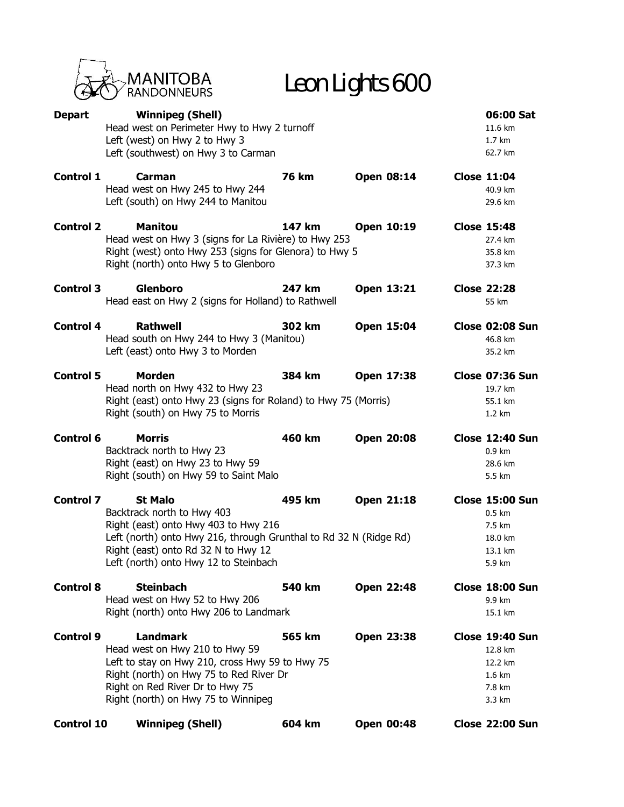

Leon Lights 600

| <b>Depart</b>     | <b>Winnipeg (Shell)</b><br>Head west on Perimeter Hwy to Hwy 2 turnoff<br>Left (west) on Hwy 2 to Hwy 3<br>Left (southwest) on Hwy 3 to Carman                                                                                            |        |                   | 06:00 Sat<br>11.6 km<br>$1.7 \text{ km}$<br>62.7 km                           |
|-------------------|-------------------------------------------------------------------------------------------------------------------------------------------------------------------------------------------------------------------------------------------|--------|-------------------|-------------------------------------------------------------------------------|
| <b>Control 1</b>  | <b>Carman</b><br>Head west on Hwy 245 to Hwy 244<br>Left (south) on Hwy 244 to Manitou                                                                                                                                                    | 76 km  | <b>Open 08:14</b> | <b>Close 11:04</b><br>40.9 km<br>29.6 km                                      |
| <b>Control 2</b>  | <b>Manitou</b><br>Head west on Hwy 3 (signs for La Rivière) to Hwy 253<br>Right (west) onto Hwy 253 (signs for Glenora) to Hwy 5<br>Right (north) onto Hwy 5 to Glenboro                                                                  | 147 km | Open 10:19        | <b>Close 15:48</b><br>27.4 km<br>35.8 km<br>37.3 km                           |
| <b>Control 3</b>  | Glenboro<br>Head east on Hwy 2 (signs for Holland) to Rathwell                                                                                                                                                                            | 247 km | Open 13:21        | <b>Close 22:28</b><br>55 km                                                   |
| <b>Control 4</b>  | <b>Rathwell</b><br>Head south on Hwy 244 to Hwy 3 (Manitou)<br>Left (east) onto Hwy 3 to Morden                                                                                                                                           | 302 km | Open 15:04        | Close 02:08 Sun<br>46.8 km<br>35.2 km                                         |
| <b>Control 5</b>  | <b>Morden</b><br>Head north on Hwy 432 to Hwy 23<br>Right (east) onto Hwy 23 (signs for Roland) to Hwy 75 (Morris)<br>Right (south) on Hwy 75 to Morris                                                                                   | 384 km | Open 17:38        | <b>Close 07:36 Sun</b><br>19.7 km<br>55.1 km<br>1.2 km                        |
| Control 6         | <b>Morris</b><br>Backtrack north to Hwy 23<br>Right (east) on Hwy 23 to Hwy 59<br>Right (south) on Hwy 59 to Saint Malo                                                                                                                   | 460 km | <b>Open 20:08</b> | <b>Close 12:40 Sun</b><br>0.9 km<br>28.6 km<br>5.5 km                         |
| <b>Control 7</b>  | <b>St Malo</b><br>Backtrack north to Hwy 403<br>Right (east) onto Hwy 403 to Hwy 216<br>Left (north) onto Hwy 216, through Grunthal to Rd 32 N (Ridge Rd)<br>Right (east) onto Rd 32 N to Hwy 12<br>Left (north) onto Hwy 12 to Steinbach | 495 km | <b>Open 21:18</b> | Close 15:00 Sun<br>$0.5 \text{ km}$<br>7.5 km<br>18.0 km<br>13.1 km<br>5.9 km |
| <b>Control 8</b>  | <b>Steinbach</b><br>Head west on Hwy 52 to Hwy 206<br>Right (north) onto Hwy 206 to Landmark                                                                                                                                              | 540 km | <b>Open 22:48</b> | Close 18:00 Sun<br>9.9 km<br>15.1 km                                          |
| <b>Control 9</b>  | <b>Landmark</b><br>Head west on Hwy 210 to Hwy 59<br>Left to stay on Hwy 210, cross Hwy 59 to Hwy 75<br>Right (north) on Hwy 75 to Red River Dr<br>Right on Red River Dr to Hwy 75<br>Right (north) on Hwy 75 to Winnipeg                 | 565 km | <b>Open 23:38</b> | Close 19:40 Sun<br>12.8 km<br>12.2 km<br>1.6 km<br>7.8 km<br>3.3 km           |
| <b>Control 10</b> | <b>Winnipeg (Shell)</b>                                                                                                                                                                                                                   | 604 km | <b>Open 00:48</b> | <b>Close 22:00 Sun</b>                                                        |